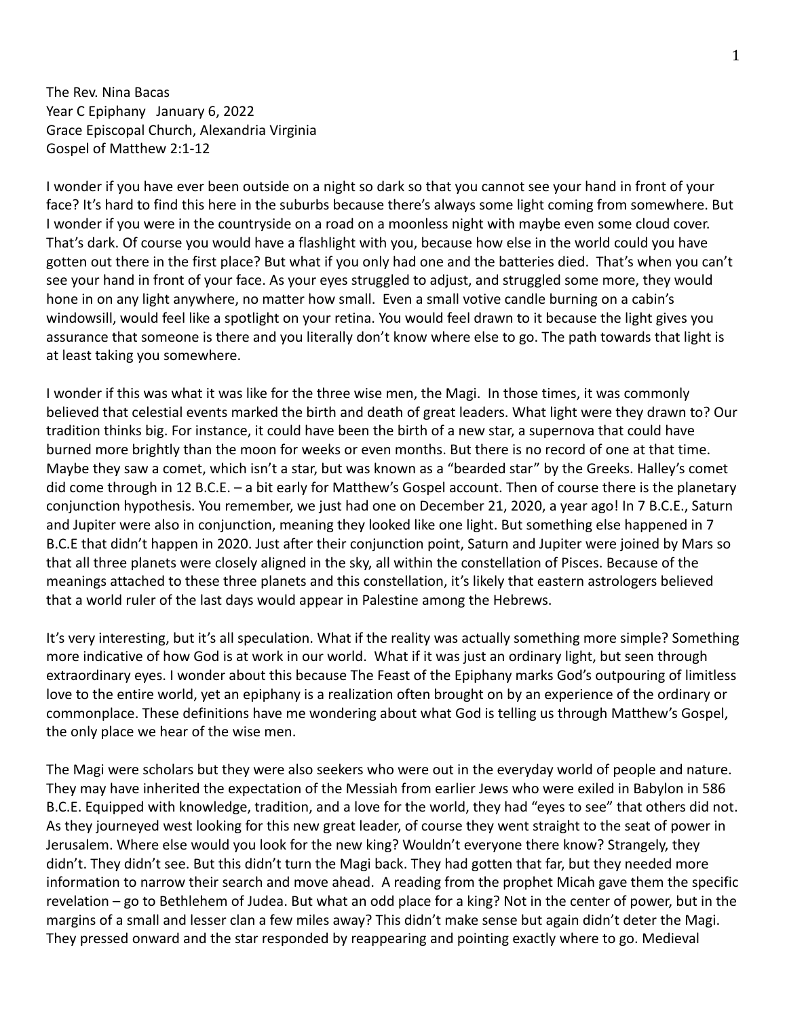The Rev. Nina Bacas Year C Epiphany January 6, 2022 Grace Episcopal Church, Alexandria Virginia Gospel of Matthew 2:1-12

I wonder if you have ever been outside on a night so dark so that you cannot see your hand in front of your face? It's hard to find this here in the suburbs because there's always some light coming from somewhere. But I wonder if you were in the countryside on a road on a moonless night with maybe even some cloud cover. That's dark. Of course you would have a flashlight with you, because how else in the world could you have gotten out there in the first place? But what if you only had one and the batteries died. That's when you can't see your hand in front of your face. As your eyes struggled to adjust, and struggled some more, they would hone in on any light anywhere, no matter how small. Even a small votive candle burning on a cabin's windowsill, would feel like a spotlight on your retina. You would feel drawn to it because the light gives you assurance that someone is there and you literally don't know where else to go. The path towards that light is at least taking you somewhere.

I wonder if this was what it was like for the three wise men, the Magi. In those times, it was commonly believed that celestial events marked the birth and death of great leaders. What light were they drawn to? Our tradition thinks big. For instance, it could have been the birth of a new star, a supernova that could have burned more brightly than the moon for weeks or even months. But there is no record of one at that time. Maybe they saw a comet, which isn't a star, but was known as a "bearded star" by the Greeks. Halley's comet did come through in 12 B.C.E. – a bit early for Matthew's Gospel account. Then of course there is the planetary conjunction hypothesis. You remember, we just had one on December 21, 2020, a year ago! In 7 B.C.E., Saturn and Jupiter were also in conjunction, meaning they looked like one light. But something else happened in 7 B.C.E that didn't happen in 2020. Just after their conjunction point, Saturn and Jupiter were joined by Mars so that all three planets were closely aligned in the sky, all within the constellation of Pisces. Because of the meanings attached to these three planets and this constellation, it's likely that eastern astrologers believed that a world ruler of the last days would appear in Palestine among the Hebrews.

It's very interesting, but it's all speculation. What if the reality was actually something more simple? Something more indicative of how God is at work in our world. What if it was just an ordinary light, but seen through extraordinary eyes. I wonder about this because The Feast of the Epiphany marks God's outpouring of limitless love to the entire world, yet an epiphany is a realization often brought on by an experience of the ordinary or commonplace. These definitions have me wondering about what God is telling us through Matthew's Gospel, the only place we hear of the wise men.

The Magi were scholars but they were also seekers who were out in the everyday world of people and nature. They may have inherited the expectation of the Messiah from earlier Jews who were exiled in Babylon in 586 B.C.E. Equipped with knowledge, tradition, and a love for the world, they had "eyes to see" that others did not. As they journeyed west looking for this new great leader, of course they went straight to the seat of power in Jerusalem. Where else would you look for the new king? Wouldn't everyone there know? Strangely, they didn't. They didn't see. But this didn't turn the Magi back. They had gotten that far, but they needed more information to narrow their search and move ahead. A reading from the prophet Micah gave them the specific revelation – go to Bethlehem of Judea. But what an odd place for a king? Not in the center of power, but in the margins of a small and lesser clan a few miles away? This didn't make sense but again didn't deter the Magi. They pressed onward and the star responded by reappearing and pointing exactly where to go. Medieval